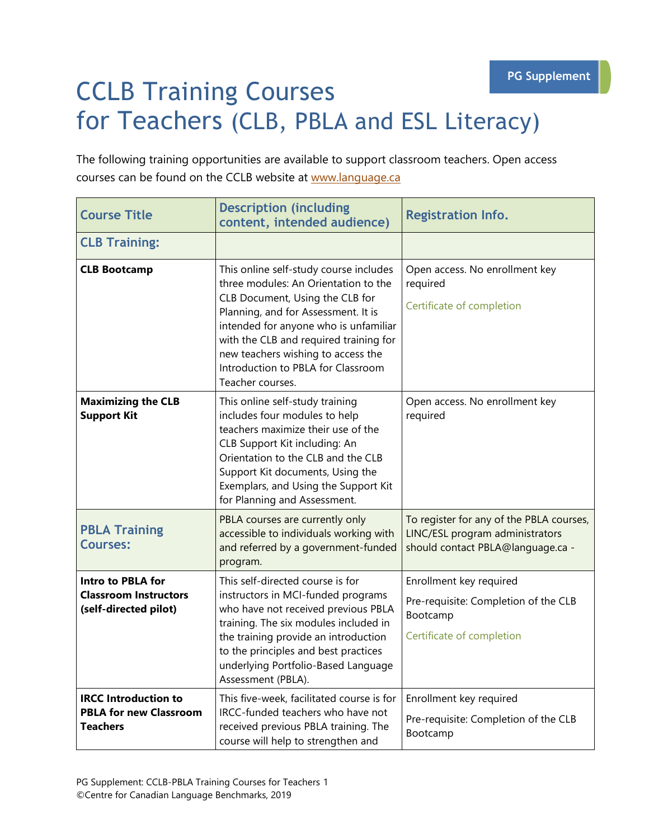## CCLB Training Courses for Teachers (CLB, PBLA and ESL Literacy)

The following training opportunities are available to support classroom teachers. Open access courses can be found on the CCLB website at [www.language.ca](http://www.language.ca/)

| <b>Course Title</b>                                                               | <b>Description (including</b><br>content, intended audience)                                                                                                                                                                                                                                                                                | <b>Registration Info.</b>                                                                                        |
|-----------------------------------------------------------------------------------|---------------------------------------------------------------------------------------------------------------------------------------------------------------------------------------------------------------------------------------------------------------------------------------------------------------------------------------------|------------------------------------------------------------------------------------------------------------------|
| <b>CLB Training:</b>                                                              |                                                                                                                                                                                                                                                                                                                                             |                                                                                                                  |
| <b>CLB Bootcamp</b>                                                               | This online self-study course includes<br>three modules: An Orientation to the<br>CLB Document, Using the CLB for<br>Planning, and for Assessment. It is<br>intended for anyone who is unfamiliar<br>with the CLB and required training for<br>new teachers wishing to access the<br>Introduction to PBLA for Classroom<br>Teacher courses. | Open access. No enrollment key<br>required<br>Certificate of completion                                          |
| <b>Maximizing the CLB</b><br><b>Support Kit</b>                                   | This online self-study training<br>includes four modules to help<br>teachers maximize their use of the<br>CLB Support Kit including: An<br>Orientation to the CLB and the CLB<br>Support Kit documents, Using the<br>Exemplars, and Using the Support Kit<br>for Planning and Assessment.                                                   | Open access. No enrollment key<br>required                                                                       |
| <b>PBLA Training</b><br><b>Courses:</b>                                           | PBLA courses are currently only<br>accessible to individuals working with<br>and referred by a government-funded<br>program.                                                                                                                                                                                                                | To register for any of the PBLA courses,<br>LINC/ESL program administrators<br>should contact PBLA@language.ca - |
| <b>Intro to PBLA for</b><br><b>Classroom Instructors</b><br>(self-directed pilot) | This self-directed course is for<br>instructors in MCI-funded programs<br>who have not received previous PBLA<br>training. The six modules included in<br>the training provide an introduction<br>to the principles and best practices<br>underlying Portfolio-Based Language<br>Assessment (PBLA).                                         | Enrollment key required<br>Pre-requisite: Completion of the CLB<br>Bootcamp<br>Certificate of completion         |
| <b>IRCC Introduction to</b><br><b>PBLA for new Classroom</b><br><b>Teachers</b>   | This five-week, facilitated course is for<br>IRCC-funded teachers who have not<br>received previous PBLA training. The<br>course will help to strengthen and                                                                                                                                                                                | Enrollment key required<br>Pre-requisite: Completion of the CLB<br>Bootcamp                                      |